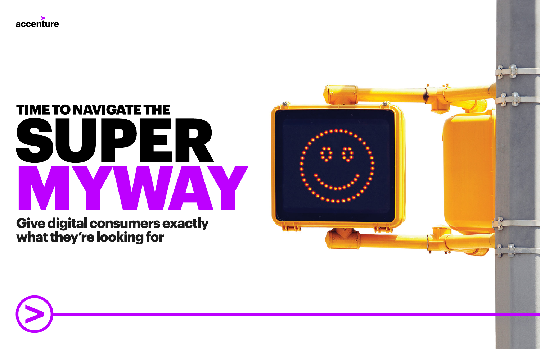

# **TIME TO NAVIGATE THE** SUPER Y WYA M

**Give digital consumers exactly** what they're looking for



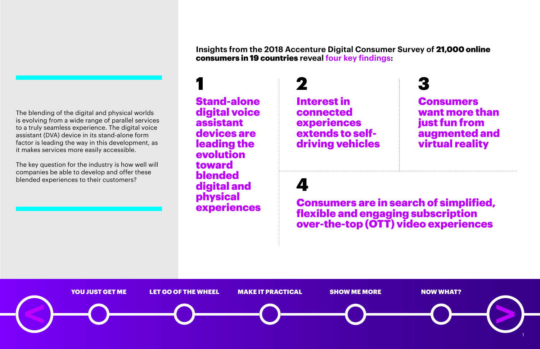**Insights from the 2018 Accenture Digital Consumer Survey of** 21,000 online consumers in 19 countries **reveal four key findings:**

experiences Consumers are in search of simplified, flexible and engaging subscription over-the-top (OTT) video experiences

Stand-alone digital voice assistant devices are leading the evolution toward blended digital and physical 1 2

Interest in connected experiences extends to selfdriving vehicles





# 4

The blending of the digital and physical worlds is evolving from a wide range of parallel services to a truly seamless experience. The digital voice assistant (DVA) device in its stand-alone form factor is leading the way in this development, as it makes services more easily accessible.

The key question for the industry is how well will companies be able to develop and offer these blended experiences to their customers?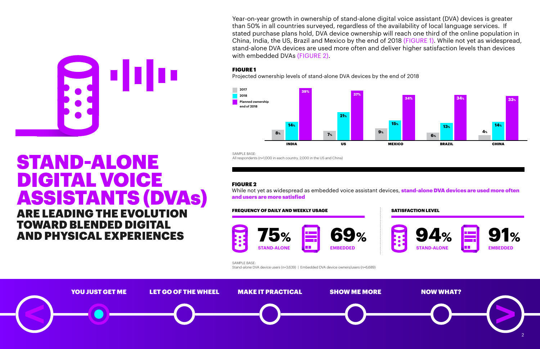

Year-on-year growth in ownership of stand-alone digital voice assistant (DVA) devices is greater than 50% in all countries surveyed, regardless of the availability of local language services. If stated purchase plans hold, DVA device ownership will reach one third of the online population in China, India, the US, Brazil and Mexico by the end of 2018 (FIGURE 1). While not yet as widespread, stand-alone DVA devices are used more often and deliver higher satisfaction levels than devices with embedded DVAs (FIGURE 2).

While not yet as widespread as embedded voice assistant devices, **stand-alone DVA devices are used more often** and users are more satisfied

#### FIGURE 2



#### FIGURE 1

Projected ownership levels of stand-alone DVA devices by the end of 2018





## **ARE LEADING THE EVOLUTION TOWARD BLENDED DIGITAL AND PHYSICAL EXPERIENCES**

**STAND-ALONE** DIGITAL VOICE **ASSISTANTS (DVAs)**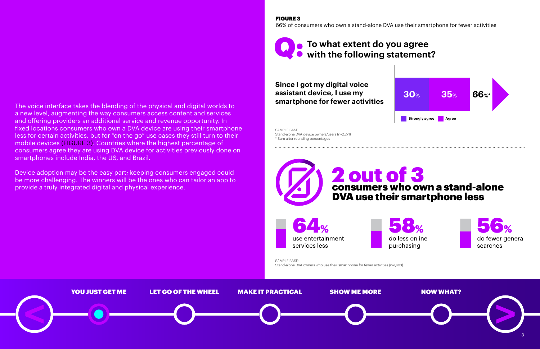

The voice interface takes the blending of the physical and digital worlds to a new level, augmenting the way consumers access content and services and offering providers an additional service and revenue opportunity. In fixed locations consumers who own a DVA device are using their smartphone less for certain activities, but for "on the go" use cases they still turn to their mobile devices (FIGURE 3). Countries where the highest percentage of consumers agree they are using DVA device for activities previously done on smartphones include India, the US, and Brazil.

Device adoption may be the easy part; keeping consumers engaged could be more challenging. The winners will be the ones who can tailor an app to provide a truly integrated digital and physical experience.

FIGURE 3

66% of consumers who own a stand-alone DVA use their smartphone for fewer activities

SAMPLE BASE: Stand-alone DVA owners who use their smartphone for fewer activities (n=1,493)

SAMPLE BASE: Stand-alone DVA device owners/users (n=2,271) \* Sum after rounding percentages



**Since I got my digital voice assistant device, I use my smartphone for fewer activities**



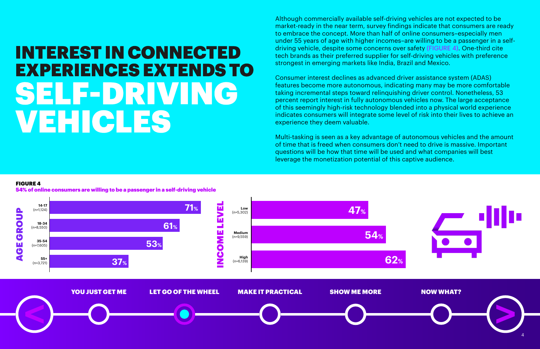# **INTEREST IN CONNECTED EXPERIENCES EXTENDS TO** SELF-DRIVING **VEHICLES**

Although commercially available self-driving vehicles are not expected to be market-ready in the near term, survey findings indicate that consumers are ready to embrace the concept. More than half of online consumers–especially men under 55 years of age with higher incomes–are willing to be a passenger in a selfdriving vehicle, despite some concerns over safety (FIGURE 4). One-third cite tech brands as their preferred supplier for self-driving vehicles with preference strongest in emerging markets like India, Brazil and Mexico.



Consumer interest declines as advanced driver assistance system (ADAS) features become more autonomous, indicating many may be more comfortable taking incremental steps toward relinquishing driver control. Nonetheless, 53 percent report interest in fully autonomous vehicles now. The large acceptance of this seemingly high-risk technology blended into a physical world experience indicates consumers will integrate some level of risk into their lives to achieve an experience they deem valuable.

Multi-tasking is seen as a key advantage of autonomous vehicles and the amount of time that is freed when consumers don't need to drive is massive. Important questions will be how that time will be used and what companies will best leverage the monetization potential of this captive audience.

#### FIGURE 4

54% of online consumers are willing to be a passenger in a self-driving vehicle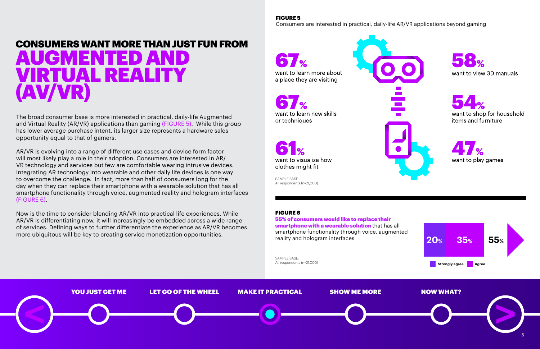





want to shop for household items and furniture



The broad consumer base is more interested in practical, daily-life Augmented and Virtual Reality (AR/VR) applications than gaming (FIGURE 5). While this group has lower average purchase intent, its larger size represents a hardware sales opportunity equal to that of gamers.

AR/VR is evolving into a range of different use cases and device form factor will most likely play a role in their adoption. Consumers are interested in AR/ VR technology and services but few are comfortable wearing intrusive devices. Integrating AR technology into wearable and other daily life devices is one way to overcome the challenge. In fact, more than half of consumers long for the day when they can replace their smartphone with a wearable solution that has all smartphone functionality through voice, augmented reality and hologram interfaces (FIGURE 6).

Now is the time to consider blending AR/VR into practical life experiences. While AR/VR is differentiating now, it will increasingly be embedded across a wide range of services. Defining ways to further differentiate the experience as AR/VR becomes more ubiquitous will be key to creating service monetization opportunities.

#### FIGURE 5

Consumers are interested in practical, daily-life AR/VR applications beyond gaming

want to learn more about a place they are visiting

want to learn new skills or techniques

#### FIGURE 6

55% of consumers would like to replace their smartphone with a wearable solution that has all smartphone functionality through voice, augmented reality and hologram interfaces

SAMPLE BASE:<br>All respondents (n=21,000)

SAMPLE BASE: All respondents (n=21,000)

clothes might fit

want to visualize how



## CONSUMERS WANT MORE THAN JUST FUN FROM AUGMENTED AND VIRTUAL REALITY (AV/VR)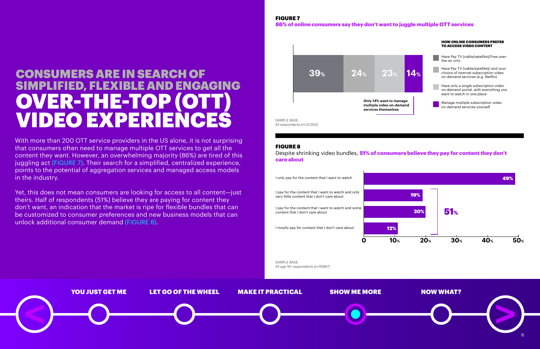



## **CONSUMERS ARE IN SEARCH OF** SIMPLIFIED, FLEXIBLE AND ENGAGING OVER-THE-TOP (OTT) VIDEO EXPERIENCES

With more than 200 OTT service providers in the US alone, it is not surprising that consumers often need to manage multiple OTT services to get all the content they want. However, an overwhelming majority (86%) are tired of this juggling act (FIGURE 7). Their search for a simplified, centralized experience, points to the potential of aggregation services and managed access models in the industry.

Despite shrinking video bundles, **51% of consumers believe they pay for content they don't** care about

Yet, this does not mean consumers are looking for access to all content—just theirs. Half of respondents (51%) believe they are paying for content they don't want, an indication that the market is ripe for flexible bundles that can be customized to consumer preferences and new business models that can unlock additional consumer demand (FIGURE 8).

SAMPLE BASE: All respondents (n=21,000)

#### FIGURE 7 86% of online consumers say they don't want to juggle multiple OTT services

#### FIGURE 8



SAMPLE BASE: All age 18+ respondents (n=19,867)



HOW ONLINE CONSUMERS PREFER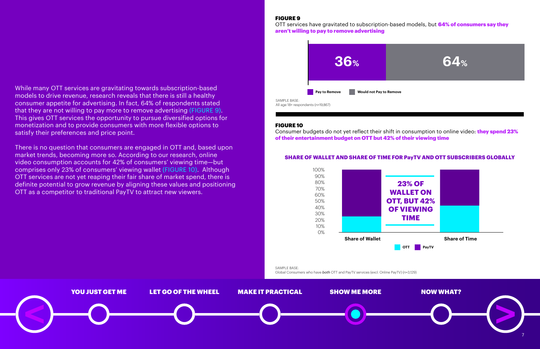



While many OTT services are gravitating towards subscription-based models to drive revenue, research reveals that there is still a healthy consumer appetite for advertising. In fact, 64% of respondents stated that they are not willing to pay more to remove advertising (FIGURE 9). This gives OTT services the opportunity to pursue diversified options for monetization and to provide consumers with more flexible options to satisfy their preferences and price point.

OTT services have gravitated to subscription-based models, but **64% of consumers say they** aren't willing to pay to remove advertising

Consumer budgets do not yet reflect their shift in consumption to online video: **they spend 23%** of their entertainment budget on OTT but 42% of their viewing time

There is no question that consumers are engaged in OTT and, based upon market trends, becoming more so. According to our research, online video consumption accounts for 42% of consumers' viewing time—but comprises only 23% of consumers' viewing wallet (FIGURE 10). Although OTT services are not yet reaping their fair share of market spend, there is definite potential to grow revenue by aligning these values and positioning OTT as a competitor to traditional PayTV to attract new viewers.

#### FIGURE 9

#### FIGURE 10



SAMPLE BASE:

Global Consumers who have *both* OTT and PayTV services (excl. Online PayTV) (n=3,129)



#### **SHARE OF WALLET AND SHARE OF TIME FOR PayTV AND OTT SUBSCRIBERS GLOBALLY**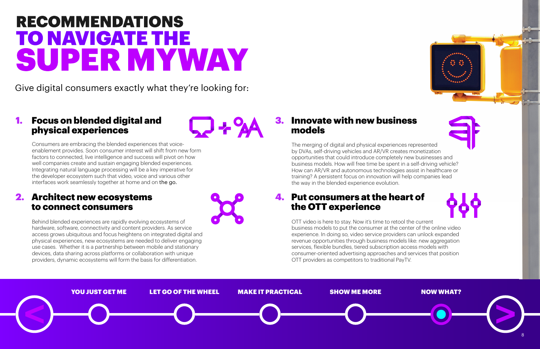





# **RECOMMENDATIONS TO NAVIGATE THE** SUPER MYWAY

Give digital consumers exactly what they're looking for:

## 1. Focus on blended digital and physical experiences

## 3. Innovate with new business models

## 2. Architect new ecosystems to connect consumers

## 4. Put consumers at the heart of the OTT experience

Consumers are embracing the blended experiences that voiceenablement provides. Soon consumer interest will shift from new form factors to connected, live intelligence and success will pivot on how well companies create and sustain engaging blended experiences. Integrating natural language processing will be a key imperative for the developer ecosystem such that video, voice and various other interfaces work seamlessly together at home and on the go.

Behind blended experiences are rapidly evolving ecosystems of hardware, software, connectivity and content providers. As service access grows ubiquitous and focus heightens on integrated digital and physical experiences, new ecosystems are needed to deliver engaging use cases. Whether it is a partnership between mobile and stationary devices, data sharing across platforms or collaboration with unique providers, dynamic ecosystems will form the basis for differentiation.



OTT video is here to stay. Now it's time to retool the current business models to put the consumer at the center of the online video experience. In doing so, video service providers can unlock expanded revenue opportunities through business models like: new aggregation services, flexible bundles, tiered subscription access models with consumer-oriented advertising approaches and services that position OTT providers as competitors to traditional PayTV.

The merging of digital and physical experiences represented by DVAs, self-driving vehicles and AR/VR creates monetization opportunities that could introduce completely new businesses and business models. How will free time be spent in a self-driving vehicle? How can AR/VR and autonomous technologies assist in healthcare or training? A persistent focus on innovation will help companies lead the way in the blended experience evolution.